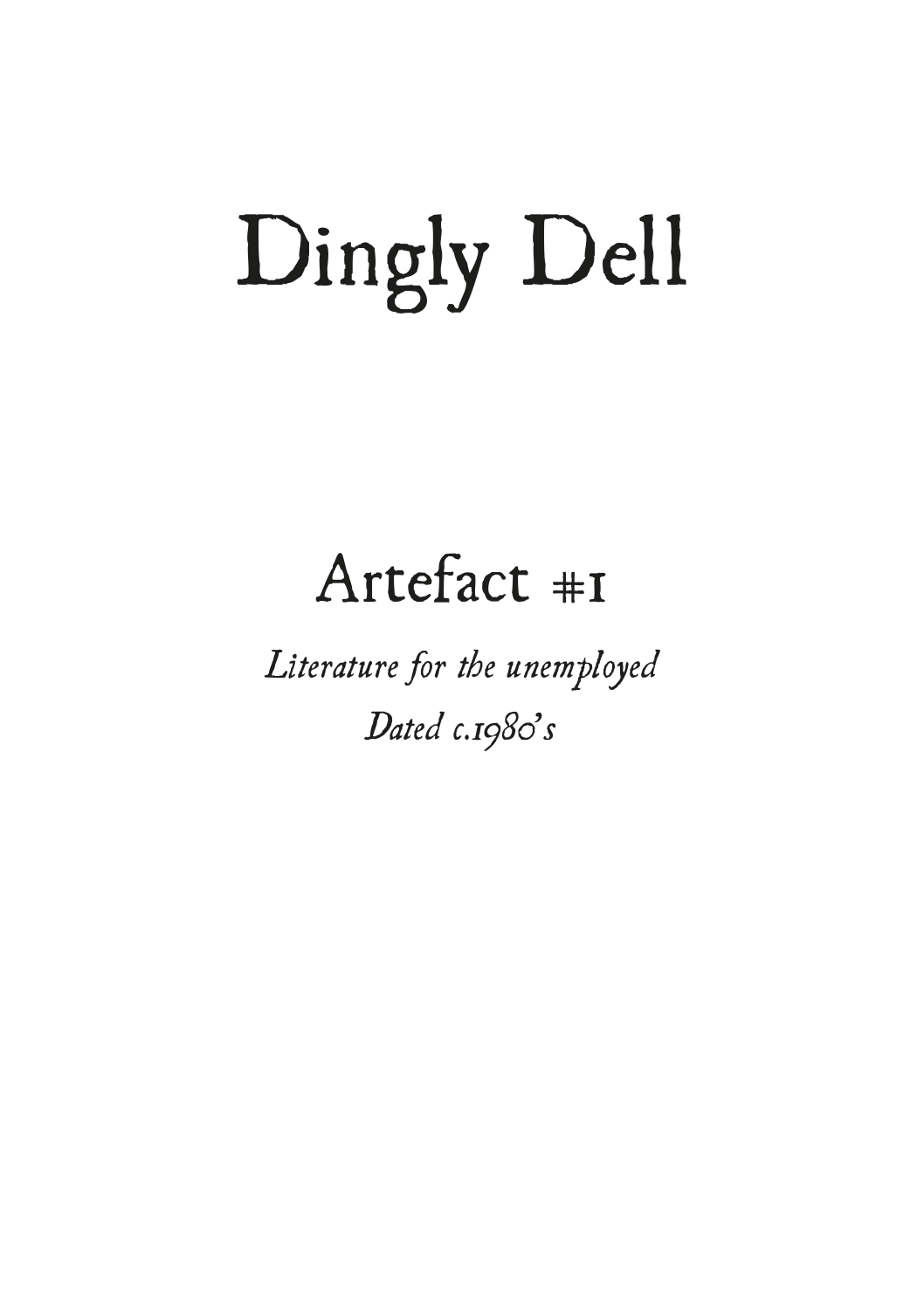### Dingly Dell

### Artefact #1

*Literature for the unemployed Dated c.1980's*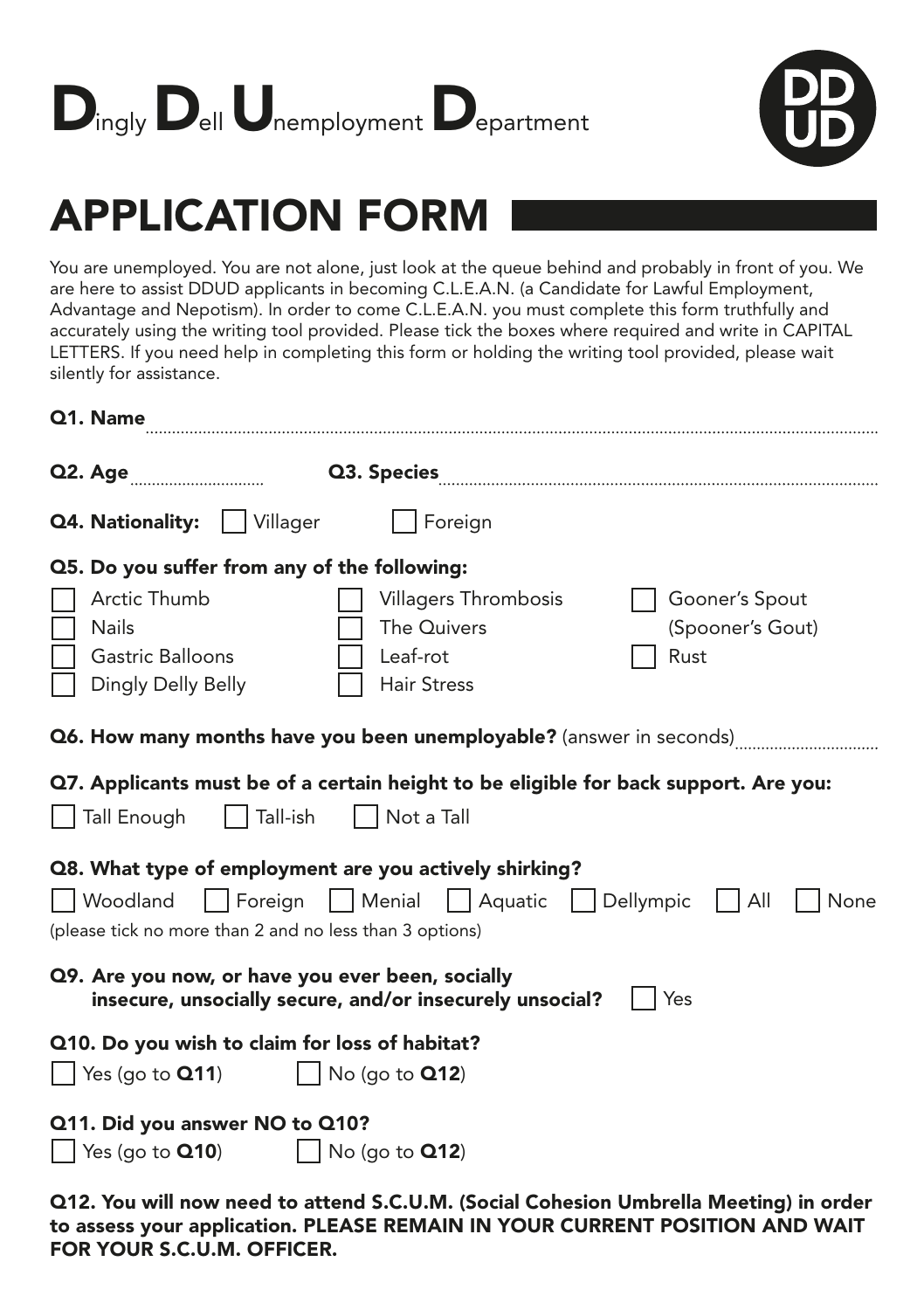



#### APPLICATION FORM

You are unemployed. You are not alone, just look at the queue behind and probably in front of you. We are here to assist DDUD applicants in becoming C.L.E.A.N. (a Candidate for Lawful Employment, Advantage and Nepotism). In order to come C.L.E.A.N. you must complete this form truthfully and accurately using the writing tool provided. Please tick the boxes where required and write in CAPITAL LETTERS. If you need help in completing this form or holding the writing tool provided, please wait silently for assistance.

| Q1. Name                                                                                                                        |                                                                       |                                            |
|---------------------------------------------------------------------------------------------------------------------------------|-----------------------------------------------------------------------|--------------------------------------------|
| Q2. Age <b>[10]</b>                                                                                                             |                                                                       |                                            |
| <b>Q4. Nationality:</b>     Villager                                                                                            | Foreign                                                               |                                            |
| Q5. Do you suffer from any of the following:                                                                                    |                                                                       |                                            |
| Arctic Thumb<br><b>Nails</b><br>Gastric Balloons<br>Dingly Delly Belly                                                          | Villagers Thrombosis<br>The Quivers<br>Leaf-rot<br><b>Hair Stress</b> | Gooner's Spout<br>(Spooner's Gout)<br>Rust |
| Q6. How many months have you been unemployable? (answer in seconds)                                                             |                                                                       |                                            |
| Q7. Applicants must be of a certain height to be eligible for back support. Are you:<br>Tall-ish<br>Not a Tall<br>Tall Enough   |                                                                       |                                            |
| Q8. What type of employment are you actively shirking?<br>  Woodland<br>(please tick no more than 2 and no less than 3 options) | Foreign   Menial   Aquatic   Dellympic                                | All<br>None                                |
| Q9. Are you now, or have you ever been, socially                                                                                | insecure, unsocially secure, and/or insecurely unsocial?              | Yes                                        |
| Q10. Do you wish to claim for loss of habitat?<br>Yes (go to $Q11$ )                                                            | No (go to $Q12$ )                                                     |                                            |
| Q11. Did you answer NO to Q10?<br>Yes (go to Q10)                                                                               | No (go to $Q12$ )                                                     |                                            |

Q12. You will now need to attend S.C.U.M. (Social Cohesion Umbrella Meeting) in order to assess your application. PLEASE REMAIN IN YOUR CURRENT POSITION AND WAIT FOR YOUR S.C.U.M. OFFICER.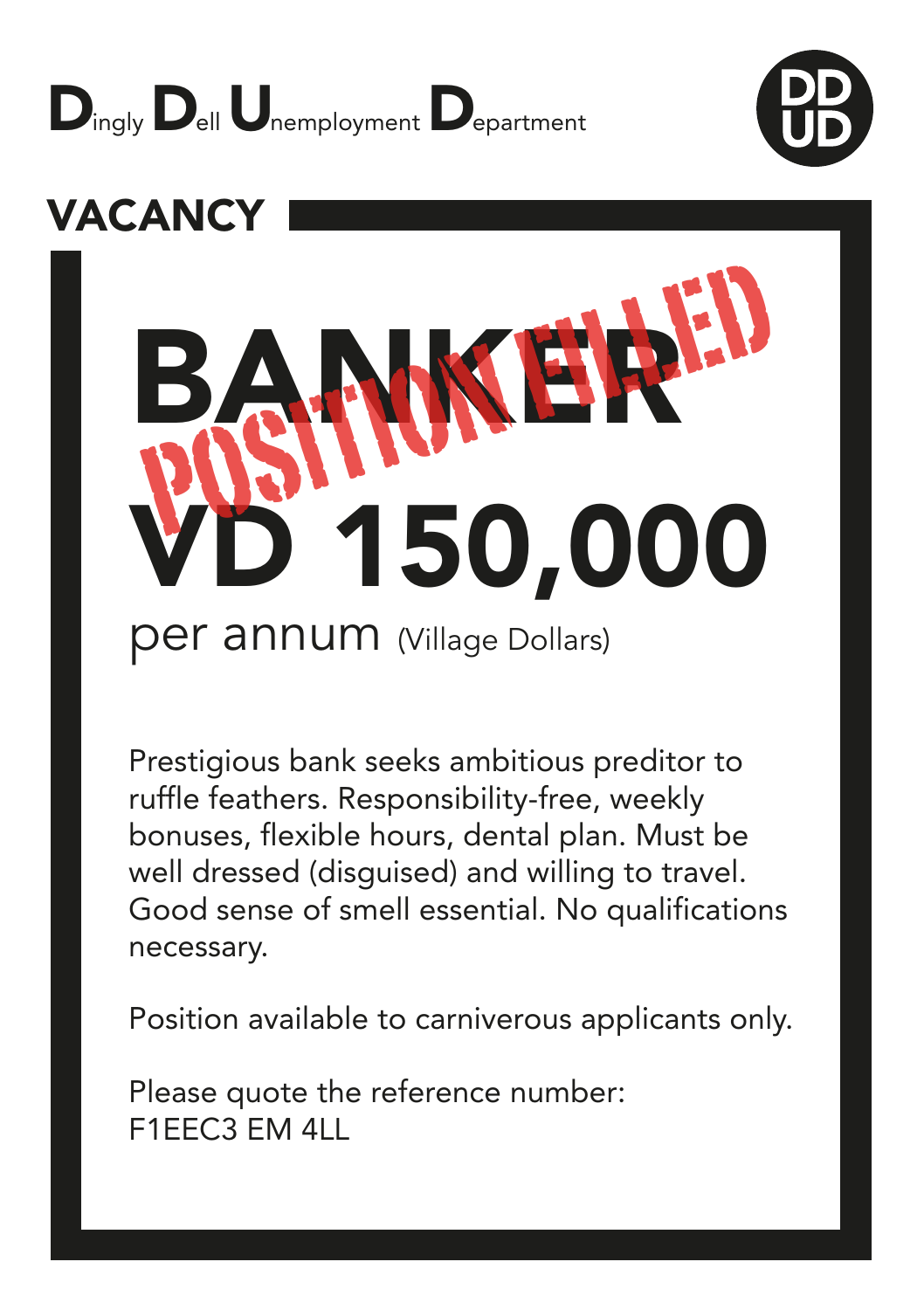





Prestigious bank seeks ambitious preditor to ruffle feathers. Responsibility-free, weekly bonuses, flexible hours, dental plan. Must be well dressed (disguised) and willing to travel. Good sense of smell essential. No qualifications necessary.

Position available to carniverous applicants only.

Please quote the reference number: F1EEC3 EM 4LL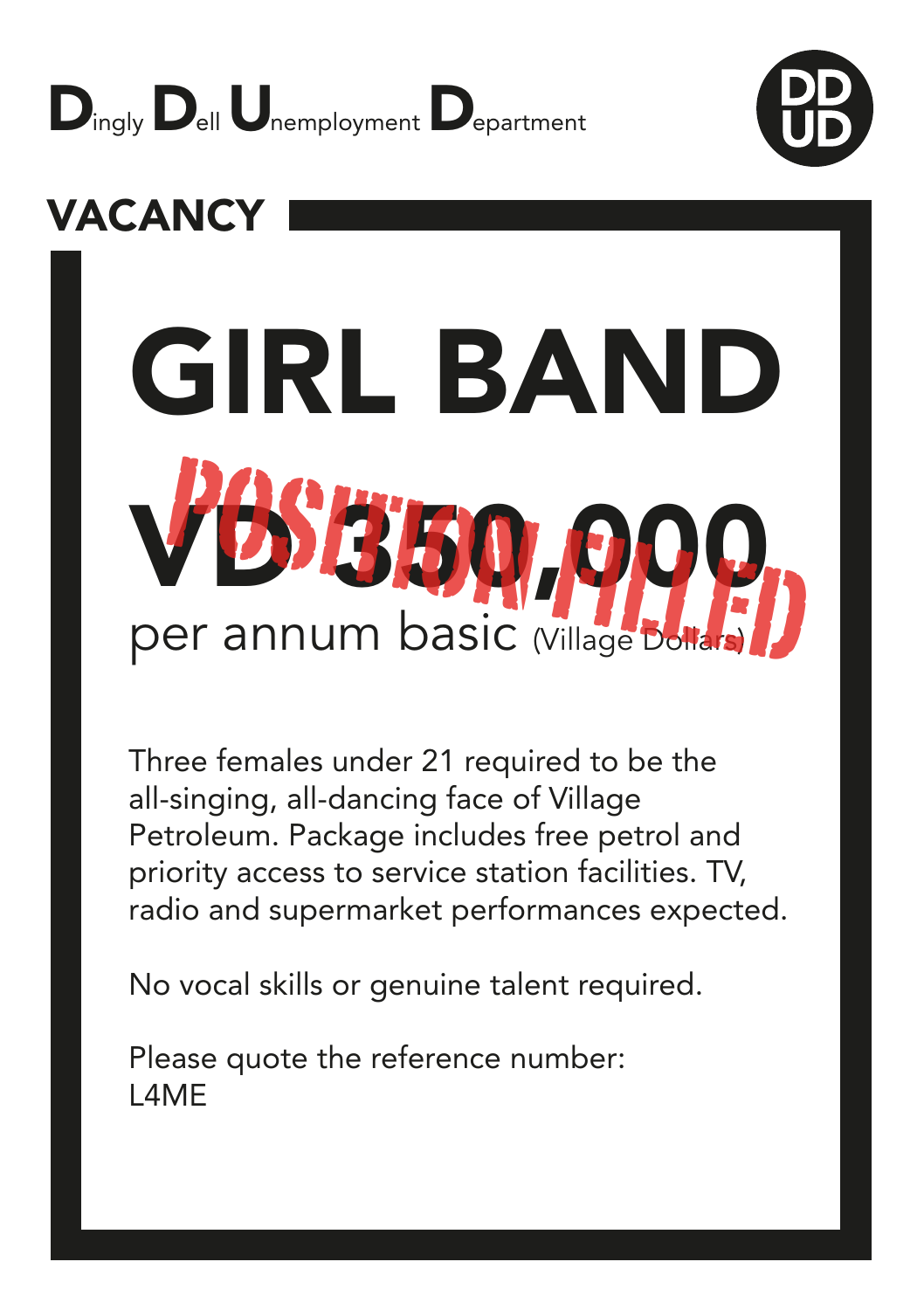



## GIRL BAND **SBG** per annum basic <sub>(Village Dol</sub>

Three females under 21 required to be the all-singing, all-dancing face of Village Petroleum. Package includes free petrol and priority access to service station facilities. TV, radio and supermarket performances expected.

No vocal skills or genuine talent required.

Please quote the reference number: L4ME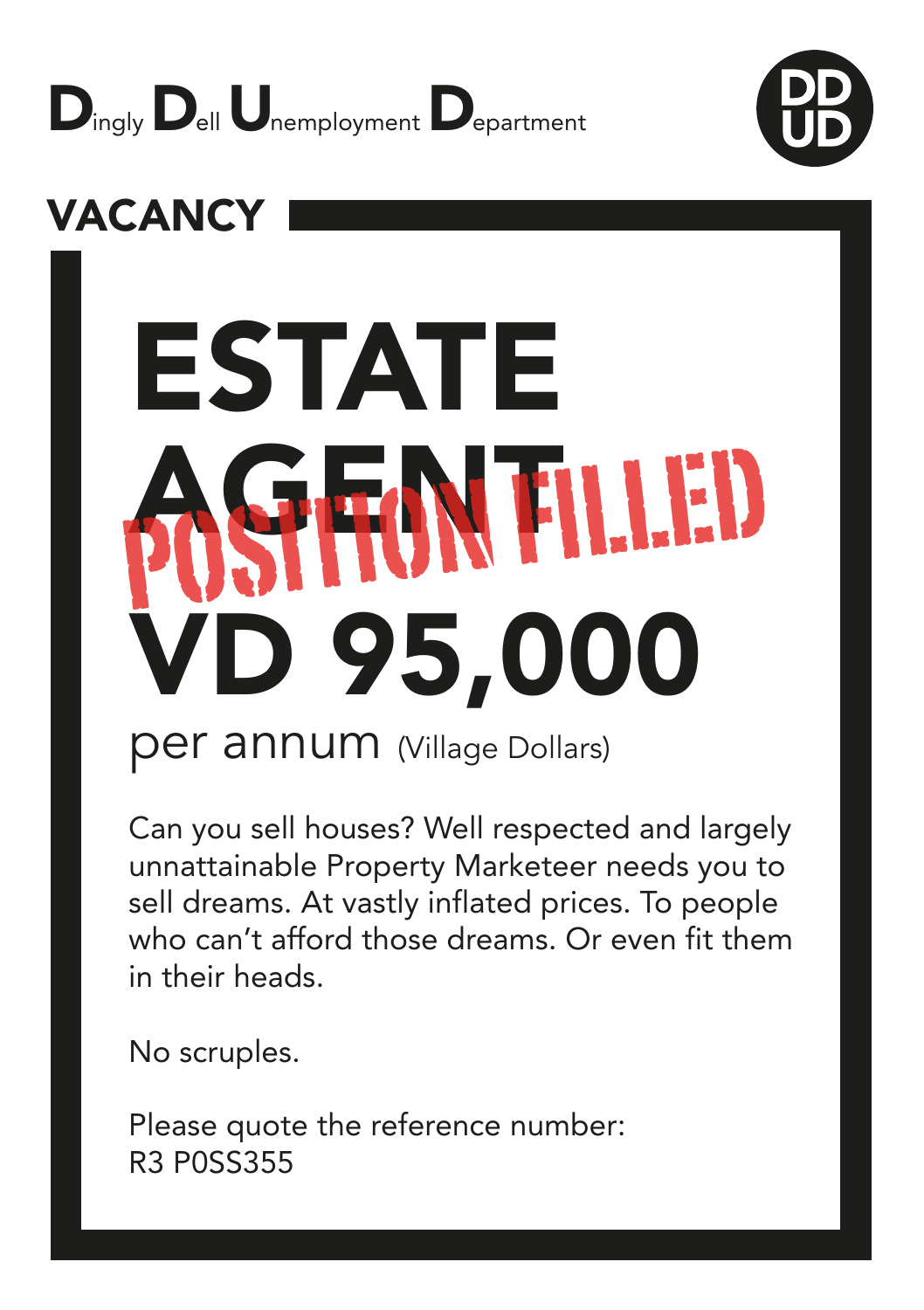



## ESTATE AGENT POSITION FILLEDVD 95,000

#### per annum (Village Dollars)

Can you sell houses? Well respected and largely unnattainable Property Marketeer needs you to sell dreams. At vastly inflated prices. To people who can't afford those dreams. Or even fit them in their heads.

No scruples.

Please quote the reference number: R3 P0SS355